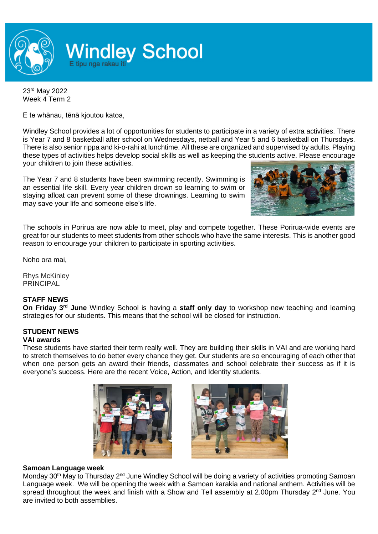

23rd May 2022 Week 4 Term 2

E te whānau, tēnā kjoutou katoa,

Windley School provides a lot of opportunities for students to participate in a variety of extra activities. There is Year 7 and 8 basketball after school on Wednesdays, netball and Year 5 and 6 basketball on Thursdays. There is also senior rippa and ki-o-rahi at lunchtime. All these are organized and supervised by adults. Playing these types of activities helps develop social skills as well as keeping the students active. Please encourage your children to join these activities.

The Year 7 and 8 students have been swimming recently. Swimming is an essential life skill. Every year children drown so learning to swim or staying afloat can prevent some of these drownings. Learning to swim may save your life and someone else's life.



The schools in Porirua are now able to meet, play and compete together. These Porirua-wide events are great for our students to meet students from other schools who have the same interests. This is another good reason to encourage your children to participate in sporting activities.

Noho ora mai,

Rhys McKinley PRINCIPAL

### **STAFF NEWS**

**On Friday 3rd June** Windley School is having a **staff only day** to workshop new teaching and learning strategies for our students. This means that the school will be closed for instruction.

#### **STUDENT NEWS VAI awards**

These students have started their term really well. They are building their skills in VAI and are working hard to stretch themselves to do better every chance they get. Our students are so encouraging of each other that when one person gets an award their friends, classmates and school celebrate their success as if it is everyone's success. Here are the recent Voice, Action, and Identity students.





### **Samoan Language week**

Monday 30<sup>th</sup> May to Thursday 2<sup>nd</sup> June Windley School will be doing a variety of activities promoting Samoan Language week. We will be opening the week with a Samoan karakia and national anthem. Activities will be spread throughout the week and finish with a Show and Tell assembly at 2.00pm Thursday 2<sup>nd</sup> June. You are invited to both assemblies.